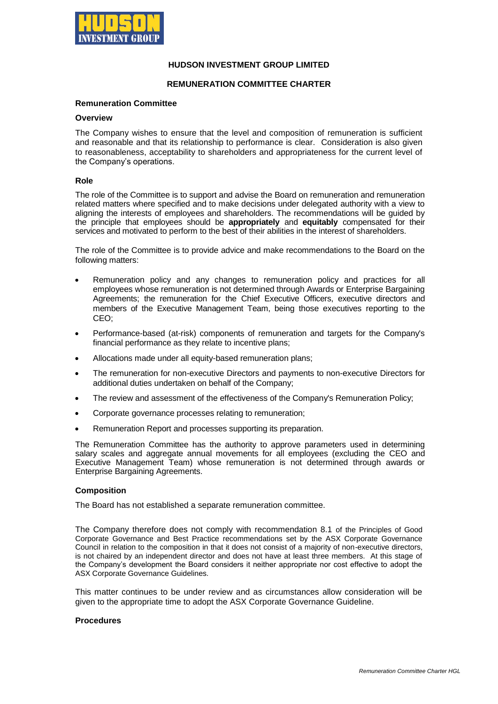

# **HUDSON INVESTMENT GROUP LIMITED**

## **REMUNERATION COMMITTEE CHARTER**

#### **Remuneration Committee**

#### **Overview**

The Company wishes to ensure that the level and composition of remuneration is sufficient and reasonable and that its relationship to performance is clear. Consideration is also given to reasonableness, acceptability to shareholders and appropriateness for the current level of the Company's operations.

#### **Role**

The role of the Committee is to support and advise the Board on remuneration and remuneration related matters where specified and to make decisions under delegated authority with a view to aligning the interests of employees and shareholders. The recommendations will be guided by the principle that employees should be **appropriately** and **equitably** compensated for their services and motivated to perform to the best of their abilities in the interest of shareholders.

The role of the Committee is to provide advice and make recommendations to the Board on the following matters:

- Remuneration policy and any changes to remuneration policy and practices for all employees whose remuneration is not determined through Awards or Enterprise Bargaining Agreements; the remuneration for the Chief Executive Officers, executive directors and members of the Executive Management Team, being those executives reporting to the CEO;
- Performance-based (at-risk) components of remuneration and targets for the Company's financial performance as they relate to incentive plans;
- Allocations made under all equity-based remuneration plans;
- The remuneration for non-executive Directors and payments to non-executive Directors for additional duties undertaken on behalf of the Company;
- The review and assessment of the effectiveness of the Company's Remuneration Policy;
- Corporate governance processes relating to remuneration;
- Remuneration Report and processes supporting its preparation.

The Remuneration Committee has the authority to approve parameters used in determining salary scales and aggregate annual movements for all employees (excluding the CEO and Executive Management Team) whose remuneration is not determined through awards or Enterprise Bargaining Agreements.

### **Composition**

The Board has not established a separate remuneration committee.

The Company therefore does not comply with recommendation 8.1 of the Principles of Good Corporate Governance and Best Practice recommendations set by the ASX Corporate Governance Council in relation to the composition in that it does not consist of a majority of non-executive directors, is not chaired by an independent director and does not have at least three members. At this stage of the Company's development the Board considers it neither appropriate nor cost effective to adopt the ASX Corporate Governance Guidelines.

This matter continues to be under review and as circumstances allow consideration will be given to the appropriate time to adopt the ASX Corporate Governance Guideline.

#### **Procedures**